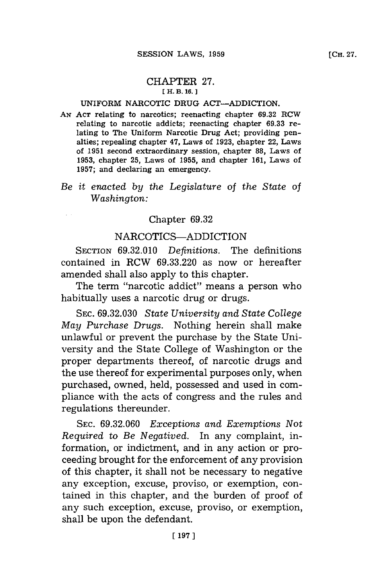### CHAPTER **27. [ H. B. 16.1**

### UNIFORM NARCOTIC **DRUG** ACT-ADDICTION.

- **AN ACT** relating to narcotics; reenacting chapter **69.32** RCW relating to narcotic addicts; reenacting chapter **69.33** relating to The Uniform Narcotic Drug Act; providing penalties; repealing chapter 47, Laws of **1923,** chapter 22, Laws of **1951** second extraordinary session, chapter **88,** Laws of **1953,** chapter **25,** Laws of **1955,** and chapter **161,** Laws of **1957;** and declaring an emergency.
- *Be it enacted by the Legislature of the State of Washington:*

# Chapter **69.32**

# NARCOTICS-ADDICTION

**SECTION 69.32.010** *Definitions.* The definitions contained in RCW **69.33.220** as now or hereafter amended shall also apply to this chapter.

The term "narcotic addict" means a person who habitually uses a narcotic drug or drugs.

**SEC. 69.32.030** *State University and State College May Purchase Drugs.* Nothing herein shall make unlawful or prevent the purchase **by** the State University and the State College of Washington or the proper departments thereof, of narcotic drugs and the use thereof for experimental purposes only, when purchased, owned, held, possessed and used in compliance with the acts of congress and the rules and regulations thereunder.

**SEC. 69.32.060** *Exceptions and Exemptions Not Required to Be Negatived.* In any complaint, information, or indictment, and in any action or proceeding brought for the enforcement of any provision of this chapter, it shall not be necessary to negative any exception, excuse, proviso, or exemption, contained in this chapter, and the burden of proof of any such exception, excuse, proviso, or exemption, shall be upon the defendant.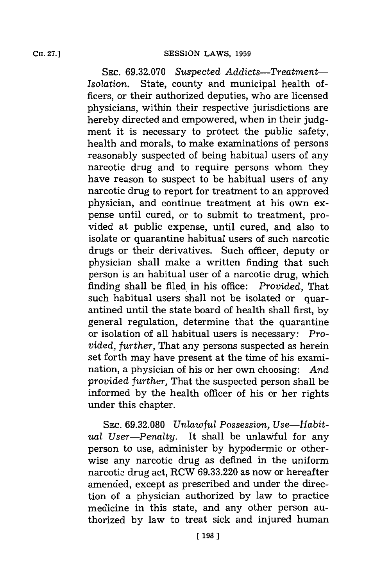SEc. **69.32.070** *Suspected Addicts-Treatment-Isolation.* State, county and municipal health officers, or their authorized deputies, who are licensed physicians, within their respective jurisdictions are hereby directed and empowered, when in their **judg**ment it is necessary to protect the public safety, health and morals, to make examinations of persons reasonably suspected of being habitual users of any narcotic drug and to require persons whom they have reason to suspect to be habitual users of any narcotic drug to report for treatment to an approved physician, and continue treatment at his own expense until cured, or to submit to treatment, provided at public expense, until cured, and also to isolate or quarantine habitual users of such narcotic drugs or their derivatives. Such officer, deputy or physician shall make a written finding that such person is an habitual user of a narcotic drug, which finding shall be filed **\*in** his office: *Provided,* That such habitual users shall not be isolated or quarantined until the state board of health shall first, **by** general regulation, determine that the quarantine or isolation of all habitual users is necessary: *Provided, further,* That any persons suspected as herein set forth may have present at the time of his examination, a physician of his or her own choosing: *And provided further,* That the suspected person shall be informed **by** the health officer of his or her rights under this chapter.

SEc. **69.32.080** *Unlawful Possession, Use-Habitual User-Penalty.* It shall be unlawful for any person to use, administer **by** hypodermic or otherwise any narcotic drug as defined in the uniform narcotic drug act, RCW **69.33.220** as now or hereafter amended, except as prescribed and under the direction of a physician authorized **by** law to practice medicine in this state, and any other person authorized **by** law to treat sick and injured human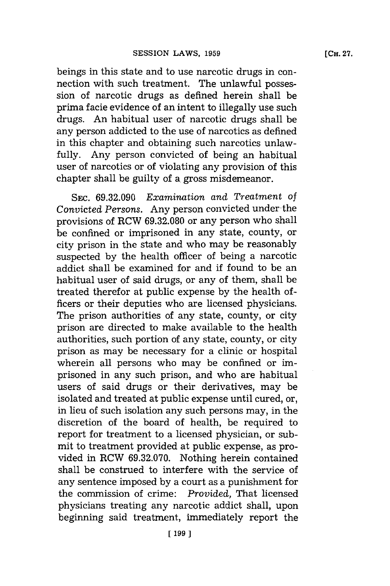beings in this state and to use narcotic drugs in connection with such treatment. The unlawful possession of narcotic drugs as defined herein shall be prima facie evidence of an intent to illegally use such drugs. An habitual user of narcotic drugs shall be any person addicted to the use of narcotics as defined in this chapter and obtaining such narcotics unlawfully. Any person convicted of being an habitual user of narcotics or of violating any provision of this chapter shall be guilty of a gross misdemeanor.

SEc. **69.32.090** *Examination and Treatment* of *Convicted Persons.* Any person convicted under the provisions of RCW **69.32.080** or any person who shall be confined or imprisoned in any state, county, or city prison in the state and who may be reasonably suspected **by** the health officer of being a narcotic addict shall be examined for and if found to be an habitual user of said drugs, or any of them, shall be treated therefor at public expense **by** the health officers or their deputies who are licensed physicians. The prison authorities of any state, county, or city prison are directed to make available to the health authorities, such portion of any state, county, or city prison as may be necessary for a clinic or hospital wherein all persons who may be confined or imprisoned in any such prison, and who are habitual users of said drugs or their derivatives, may be isolated and treated at public expense until cured, or, in lieu of such isolation any such persons may, in the discretion of the board of health, be required to report for treatment to a licensed physician, or submit to treatment provided at public expense, as provided in RCW **69.32.070.** Nothing herein contained shall be construed to interfere with the service of any sentence imposed **by** a court as a punishment for the commission of crime: *Provided,* That licensed physicians treating any narcotic addict shall, upon beginning said treatment, immediately report the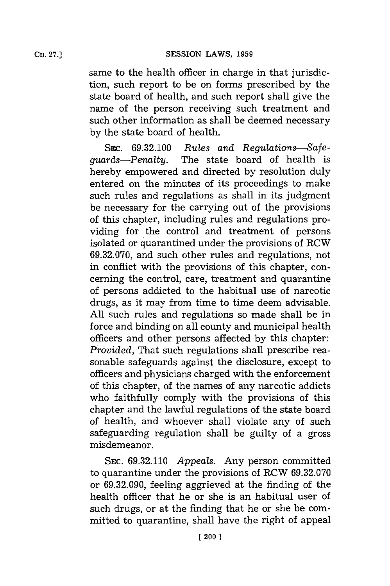same to the health officer in charge in that jurisdiction, such report to be on forms prescribed **by** the state board of health, and such report shall give the name of the person receiving such treatment and such other information as shall be deemed necessary **by** the state board of health.

**SEc. 69.32.100** *Rules and Regulations-Safeguards-Penalty.* The state board of health is hereby empowered and directed **by** resolution duly entered on the minutes of its proceedings to make such rules and regulations as shall in its judgment be necessary for the carrying out of the provisions of this chapter, including rules and regulations providing for the control and treatment of persons isolated or quarantined under the provisions of RCW **69.32.070,** and such other rules and regulations, not in conflict with the provisions of this chapter, concerning the control, care, treatment and quarantine of persons addicted to the habitual use of narcotic drugs, as it may from time to time deem advisable. **All** such rules and regulations so made shall be in force and binding on all county and municipal health officers and other persons affected **by** this chapter: *Provided,* That such regulations shall prescribe reasonable safeguards against the disclosure, except to officers and physicians charged with the enforcement of this chapter, of the names of any narcotic addicts who faithfully comply with the provisions of this chapter and the lawful regulations of the state board of health, and whoever shall violate any of such safeguarding regulation shall be guilty of a gross misdemeanor.

**SEC. 69.32.110** *Appeals.* Any person committed to quarantine under the provisions of RCW **69.32.070** or **69.32.090,** feeling aggrieved at the finding of the health officer that he or she is an habitual user of such drugs, or at the finding that he or she be committed to quarantine, shall have the right of appeal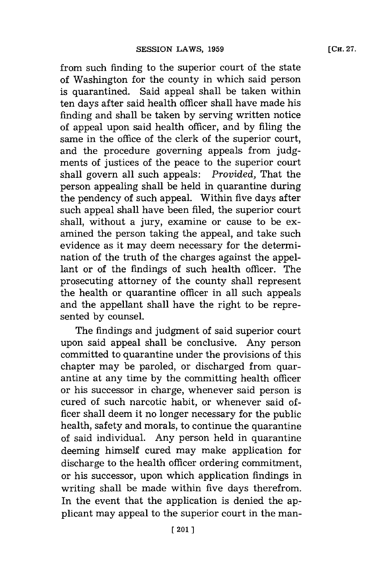from such finding to the superior court of the state of Washington for the county in which said person is quarantined. Said appeal shall be taken within ten days after said health officer shall have made his finding and shall be taken **by** serving written notice of appeal upon said health officer, and **by** filing the same in the office of the clerk of the superior court, and the procedure governing appeals from **judg**ments of justices of the peace to the superior court shall govern all such appeals: *Provided,* That the person appealing shall be held in quarantine during the pendency of such appeal. Within five days after such appeal shall have been filed, the superior court shall, without a jury, examine or cause to be examined the person taking the appeal, and take such evidence as it may deem necessary for the determination of the truth of the charges against the appellant or of the findings of such health officer. The prosecuting attorney of the county shall represent the health or quarantine officer in all such appeals and the appellant shall have the right to be represented **by** counsel.

The findings and judgment of said superior court upon said appeal shall be conclusive. Any person committed to quarantine under the provisions of this chapter may be paroled, or discharged from quarantine at any time **by** the committing health officer or his successor in charge, whenever said person is cured of such narcotic habit, or whenever said of  ficer shall deem it no longer necessary for the public health, safety and morals, to continue the quarantine of said individual. Any person held in quarantine deeming himself cured may make application for discharge to the health officer ordering commitment, or his successor, upon which application findings in writing shall be made within five days therefrom. In the event that the application is denied the applicant may appeal to the superior court in the man-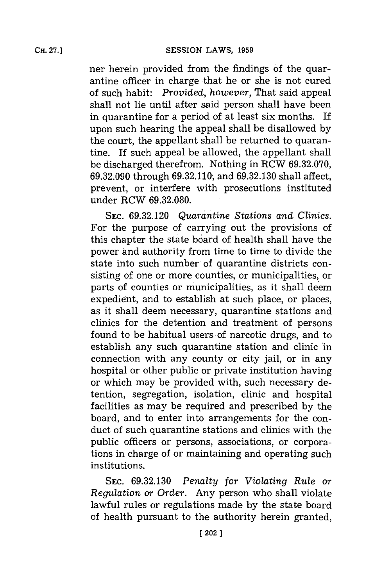ner herein provided from the findings of the quarantine officer in charge that he or she is not cured of such habit: *Provided, however,* That said appeal shall not lie until after said person shall have been in quarantine for a period of at least six months. If upon such hearing the appeal shall be disallowed **by** the court, the appellant shall be returned to quarantine. If such appeal be allowed, the appellant shall be discharged therefrom. Nothing in RCW **69.32.070, 69.32.090** through **69.32.110,** and **69.32.130** shall affect, prevent, or interfere with prosecutions instituted under RCW **69.32.080.**

**SEC. 69.32.120** *Quarantine Stations and Clinics.* For the purpose of carrying out the provisions of this chapter the state board of health shall have the power and authority from time to time to divide the state into such number of quarantine districts consisting of one or more counties, or municipalities, or parts of counties or municipalities, as it shall deem expedient, and to establish at such place, or places, as it shall deem necessary, quarantine stations and clinics for the detention and treatment of persons found to be habitual users of narcotic drugs, and to establish any such quarantine station and clinic 'in connection with any county or city jail, or in any hospital or other public or private institution having or which may be provided with, such necessary detention, segregation, isolation, clinic and hospital facilities as may be required and prescribed **by** the board, and to enter into arrangements for the conduct of such quarantine stations and clinics with the public officers or persons, associations, or corporations in charge of or maintaining and operating such institutions.

SEc. **69.32.130** *Penalty for Violating Rule or Regulation or Order.* Any person who shall violate lawful rules or regulations made **by** the state board of health pursuant to the authority herein granted,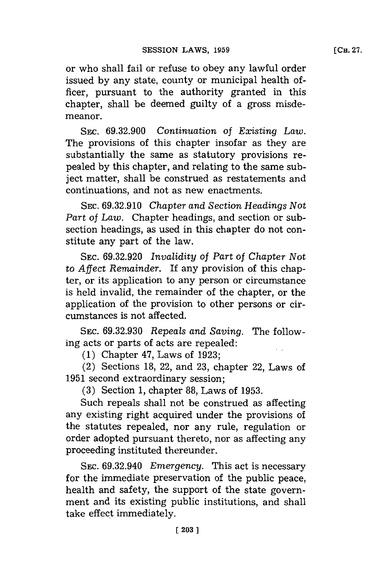or who shall fail or refuse to obey any lawful order issued **by** any state, county or municipal health officer, pursuant to the authority granted in this chapter, shall be deemed guilty of a gross misdemeanor.

**SEC. 69.32.900** *Continuation* of *Existing Law.* The provisions of this chapter insofar as they are substantially the same as statutory provisions repealed **by** this chapter, and relating to the same subject matter, shall be construed as restatements and continuations, and not as new enactments.

**SEC. 69.32.910** *Chapter and Section Headings Not Part of Law.* Chapter headings, and section or subsection headings, as used in this chapter do not constitute any part of the law.

**SEC. 69.32.920** *Invalidity of Part of Chapter Not to Affect Remainder.* If any provision of this chapter, or its application to any person or circumstance is held invalid, the remainder of the chapter, or the application of the provision to other persons or circumstances is not affected.

**SEC. 69.32.930** *Repeals and Saving.* The following acts or parts of acts are repealed:

**(1)** Chapter 47, Laws of **1923;**

(2) Sections **18,** 22, and **23,** chapter 22, Laws of **1951** second extraordinary session;

**(3)** Section **1,** chapter **88,** Laws of **1953.**

Such repeals shall not be construed as affecting any existing right acquired under the provisions of the statutes repealed, nor any rule, regulation or order adopted pursuant thereto, nor as affecting any proceeding instituted thereunder.

SEC. **69.32.940** *Emergency.* This act is necessary for the immediate preservation of the public peace, health and safety, the support of the state government and its existing public institutions, and shall take effect immediately.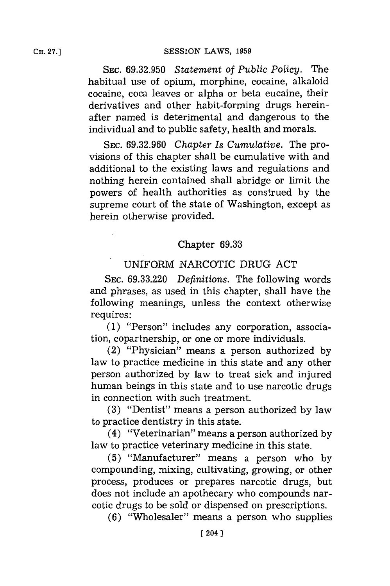**SEC. 69.32.950** *Statement of Public Policy.* The habitual use of opium, morphine, cocaine, alkaloid cocaine, coca leaves or alpha or beta eucaine, their derivatives and other habit-forming drugs hereinafter named is deterimental and dangerous to the individual and to public safety, health and morals.

**SEC. 69.32.960** *Chapter Is Cumulative.* The provisions of this chapter shall be cumulative with and additional to the existing laws and regulations and nothing herein contained shall abridge or limit the powers of health authorities as construed **by** the supreme court of the state of Washington, except as herein otherwise provided.

# Chapter **69.33**

## UNIFORM NARCOTIC **DRUG ACT**

**SEC. 69.33.220** *Definitions.* The following words and phrases, as used in this chapter, shall have the following meanings, unless the context otherwise requires:

**(1)** "Person" includes any corporation, association, copartnership, or one or more individuals.

(2) "Physician" means a person authorized **by** law to practice medicine in this state and any other person authorized **by** law to treat sick and injured human beings in this state and to use narcotic drugs in connection with such treatment.

**(3)** "Dentist" means a person authorized **by** law to practice dentistry in this state.

(4) "Veterinarian"~ means a person authorized **by** law to practice veterinary medicine in this state.

**(5)** "Manufacturer" means a person who **by** compounding, mixing, cultivating, growing, or other process, produces or prepares narcotic drugs, but does not include an apothecary who compounds narcotic drugs to be sold or dispensed on prescriptions.

**(6)** "Wholesaler" means a person who supplies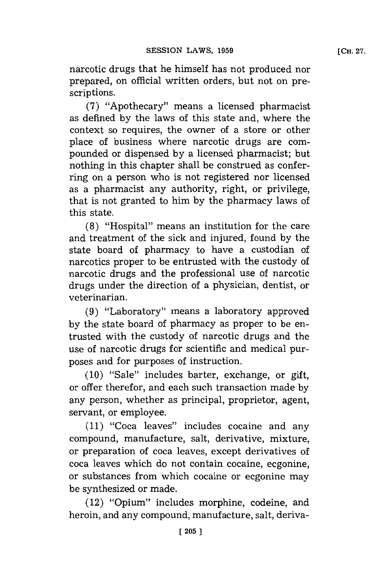narcotic drugs that he himself has not produced nor prepared, on official written orders, but not on prescriptions.

**(7)** "Apothecary" means a licensed pharmacist as defined **by** the laws of this state and, where the context so requires, the owner of a store or other place of business where narcotic drugs are compounded or dispensed **by** a licensed pharmacist; but nothing in this chapter shall be construed as conferring on a person who is not registered nor licensed as a pharmacist any authority, right, or privilege, that is not granted to him **by** the pharmacy laws of this state.

**(8)** "Hospital" means an institution for the care and treatment of the sick and injured, found **by** the state board of pharmacy to have a custodian of narcotics proper to be entrusted with the custody of narcotic drugs and the professional use of narcotic drugs under the direction of a physician, dentist, or veterinarian.

**(9)** "Laboratory" means a laboratory approved **by** the state board of pharmacy as proper to be entrusted with the custody of narcotic drugs and the use of narcotic drugs for scientific and medical purposes and for purposes of instruction.

**(10)** "Sale" includes barter, exchange, or gift, or offer therefor, and each such transaction made by any person, whether as principal, proprietor, agent, servant, or employee.

**(11)** "Coca leaves" includes cocaine and any compound, manufacture, salt, derivative, mixture, or preparation of coca leaves, except derivatives of coca leaves which do not contain cocaine, ecgonine, or substances from which cocaine or ecgonine may be synthesized or made.

(12) "Opium" includes morphine, codeine, and heroin, and any compound, manufacture, salt, deriva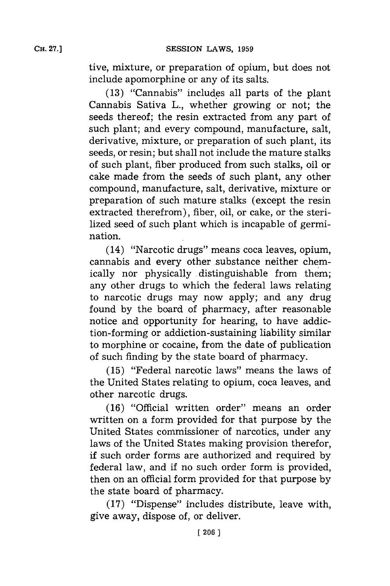tive, mixture, or preparation of opium, but does not include apomorphine or any of its salts.

**(13)** "Cannabis" includes all parts of the plant Cannabis Sativa L., whether growing or not; the seeds thereof; the resin extracted from any part of such plant; and every compound, manufacture, salt, derivative, mixture, or preparation of such plant, its seeds, or resin; but shall not include the mature stalks of such plant, fiber produced from such stalks, oil or cake made from the seeds of such plant, any other compound, manufacture, salt, derivative, mixture or preparation of such mature stalks (except the resin extracted therefrom), fiber, oil, or cake, or the sterilized seed of such plant which is incapable of germination.

(14) "Narcotic drugs" means coca leaves, opium, cannabis and every other substance neither chemically nor physically distinguishable from them; any other drugs to which the federal laws relating to narcotic drugs may now apply; and any drug found **by** the board of pharmacy, after reasonable notice and opportunity for hearing, to have addiction-forming or addiction-sustaining liability similar to morphine or cocaine, from the date of publication of such finding **by** the state board of pharmacy.

**(15)** "Federal narcotic laws" means the laws of the United States relating to opium, coca leaves, and other narcotic drugs.

**(16)** "Official written order" means an order written on a form provided for that purpose **by** the United States commissioner of narcotics, under any laws of the United States making provision therefor, if such order forms are authorized and required **by** federal law, and if no such order form is provided, then on an official form provided for that purpose **by** the state board of pharmacy.

**(17)** "Dispense" includes distribute, leave with, give away, dispose of, or deliver.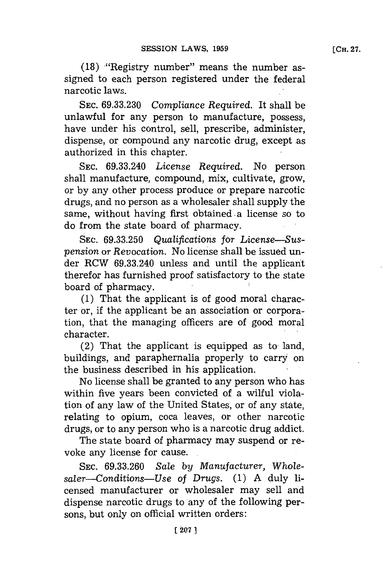**(18)** -"Registry number" means the number assigned to each person registered under the federal narcotic laws.

**SEC. 69.33.230** *Compliance Required.* It shall be unlawful for any person to manufacture, possess, have under his control, sell, prescribe, administer, dispense, or compound any narcotic drug, except as authorized in this chapter.

**SEC. 69.33.240** *License Required.* No person shall manufacture, compound, mix, cultivate, grow, or **by** any other process produce or prepare narcotic drugs, and no person as a wholesaler shall supply the same, without having first obtained a license so to do from the state board of pharmacy.

**SEC. 69.33.250** *Qualifications for License-Suspension or Revocation.* No license shall be issued under RCW **69.33.240** unless and until the applicant therefor has furnished proof satisfactory to the state board of pharmacy.

**(1)** That the applicant is of good moral character or, if the applicant be an association or corporation, that the managing officers are of good moral character.

(2) That the applicant is equipped as to land, buildings, and paraphernalia properly to carry on the business described in his application.

No license shall be granted to any person who has within five years been convicted of a wilful violation of any law of the United States, or of any state, relating to opium, coca leaves, or other narcotic drugs, or to any person who is a narcotic drug addict.

The state board of pharmacy may suspend or revoke any license for cause..

**SEC. 69.33.260** *Sale by Manufacturer, Wholesaler--Conditions-Use of Drugs.* **(1) A** duly licensed manufacturer or wholesaler may sell and dispense narcotic drugs to any of the following persons, but only on official written orders: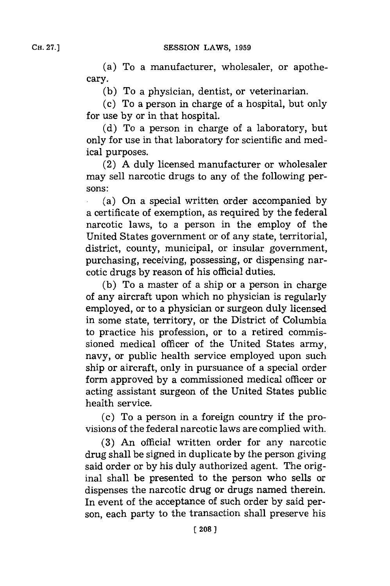(a) To a manufacturer, wholesaler, or apothecary.

**(b)** To a physician, dentist, or veterinarian.

(c) To a person in charge of a hospital, but only **for** use **by** or in that hospital.

**(d)** To a person in charge of a laboratory, but only for use in that laboratory for scientific and medical purposes.

(2) **A** duly licensed manufacturer or wholesaler may sell narcotic drugs to any of the following persons:

\*(a) On a special written order accompanied **by** a certificate of exemption, as required **by** the federal narcotic laws, to a person in the employ of the United States government or of any state, territorial, district, county, municipal, or insular government, purchasing, receiving, possessing, or dispensing narcotic drugs **by** reason of his official duties.

**(b)** To a master of a ship or a person in charge of any aircraft upon which no physician is regularly employed, or to a physician or surgeon duly licensed in some state, territory, or the District of Columbia to practice his profession, or to a retired commissioned medical officer of the United States army, navy, or public health service employed upon such ship or aircraft, only in pursuance of a special order form approved **by** a commissioned medical officer or acting assistant surgeon of the United States public health service.

**(c)** To a person in a foreign country if the provisions of the federal narcotic laws are complied with.

**(3)** An official written order for any narcotic drug shall be signed in duplicate **by** the person giving said order or **by** his duly authorized agent. The original shall be presented to the person who sells or dispenses the narcotic drug or drugs named therein. In event of the acceptance of such order **by** said person, each party to the transaction shall preserve his

**CH. 27.]**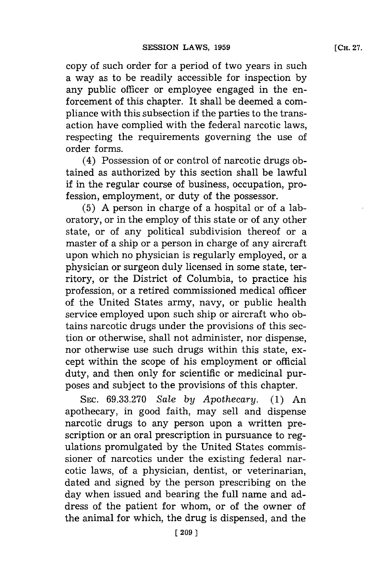copy of such order for a period of two years in such a way as to be readily accessible for inspection **by** any public officer or employee engaged in the enforcement of this chapter. It shall be deemed a compliance with this subsection if the parties to the transaction have complied with the federal narcotic laws, respecting the requirements governing the use of order forms.

(4) Possession of or control of narcotic drugs obtained as authorized **by** this section shall be lawful if in the regular course of business, occupation, profession, employment, or duty of the possessor.

**(5) A** person in charge of a hospital or of a laboratory, or in the employ of this state or of any other state, or of any political subdivision thereof or a master of a ship or a person in charge of any aircraft upon which no physician is regularly employed, or a physician or surgeon duly licensed in some state, territory, or the District of Columbia, to practice his profession, or a retired commissioned medical officer of the United States army, navy, or public health service employed upon such ship or aircraft who obtains narcotic drugs under the provisions of this section or otherwise, shall not administer, nor dispense, nor otherwise use such drugs within this state, except within the scope of his employment or official duty, and then only for scientific or medicinal purposes and subject to the provisions of this chapter.

**SEc. 69.33.270** *Sale by Apothecary.* **(1)** An apothecary, in good faith, may sell and dispense narcotic drugs to any person upon a written prescription or an oral prescription in pursuance to regulations promulgated **by** the United States commissioner of narcotics under the existing federal narcotic laws, of a physician, dentist, or veterinarian, dated and signed **by** the person prescribing on the day when issued and bearing the full name and address of the patient for whom, or of the owner of the animal **for** which, the drug is dispensed, and the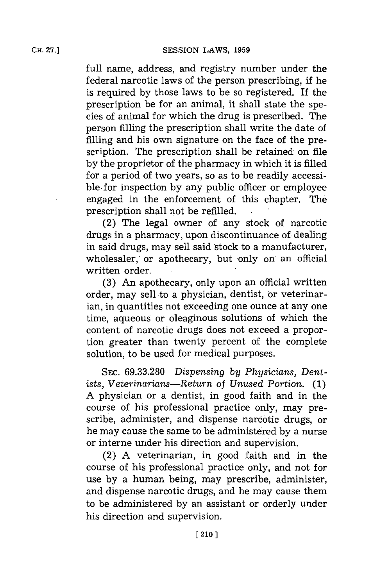full name, address, and registry number under the federal narcotic laws of the person prescribing, **if** he is required **by** those laws to be so registered. If the prescription be for an animal, it shall state the species of animal **for** which the drug is prescribed. The person filling the prescription shall write the date of filling and his own signature on the face of the prescription. The prescription shall be retained on file **by** the proprietor of the pharmacy in which it is filled for a period of two years, so as to be readily accessible -for inspection **by** any public officer or employee engaged in the enforcement of this chapter. The prescription shall not be refilled.

(2) The legal owner of any stock of narcotic drugs in a pharmacy, upon discontinuance of dealing in said drugs, may sell said stock to a manufacturer, wholesaler, or apothecary, but only on an official written order.

**(3)** An apothecary, only upon an official written order, may sell to a physician, dentist, or veterinarian, in quantities not exceeding one ounce at any one time, aqueous or oleaginous solutions of which the content of narcotic drugs does not exceed a proportion greater than twenty percent of the complete solution, to be used **for** medical purposes.

SEC. **69.33.280** *Dispensing by Physicians, Dentists, Veterinarians-Return* of *Unused Portion.* **(1)** A physician or a dentist, in good faith and in the course of his professional practice only, may prescribe, administer, and dispense narcotic drugs, or he may cause the same to be administered **by** a nurse or interne under his direction and supervision.

(2) **A** veterinarian, in good faith and in the course of his professional practice only, and not for use **by** a human being, may prescribe, administer, and dispense narcotic drugs, and he may cause them to be administered **by** an assistant or orderly under his direction and supervision.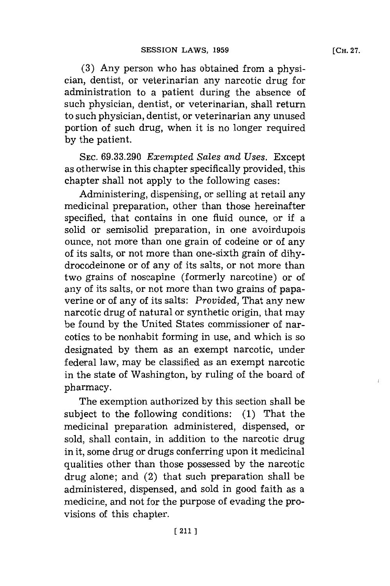**(3)** Any person who has obtained from a physician, dentist, or veterinarian any narcotic drug for administration to a patient during the absence of such physician, dentist, or veterinarian, shall return to such physician, dentist, or veterinarian any unused portion of such drug, when it is no longer required **by** the patient.

**SEC. 69.33.290** *Exempted Sales and Uses.* Except as otherwise in this chapter specifically provided, this chapter shall not apply to the following cases:

Administering, dispensing, or selling at retail any medicinal preparation, other than those hereinafter specified, that contains in one fluid ounce, or if a solid or semisolid preparation, in one avoirdupois ounce, not more than one grain of codeine or of any of its salts, or not more than one-sixth grain of dihydrocodeinone or of any of its salts, or not more than two grains of noscapine (formerly narcotine) or of any of its salts, or not more than two grains of papaverine or of any of its salts: *Provided,* That any new narcotic drug of natural or synthetic origin, that may be found **by** the United States commissioner of narcotics to be nonhabit forming in use, and which is so designated **by** them as an exempt narcotic, under federal law, may be classified as an exempt narcotic in the state of Washington, **by** ruling of the board of pharmacy.

The exemption authorized **by** this section shall be subject to the following conditions: **(1)** That the medicinal preparation administered, dispensed, or sold, shall contain, in addition to the narcotic drug in it, some drug or drugs conferring upon it medicinal qualities other than those possessed **by** the narcotic drug alone; and (2) that such preparation shall be administered, dispensed, and sold in good faith as a medicine, and not for the purpose of evading the provisions of this chapter.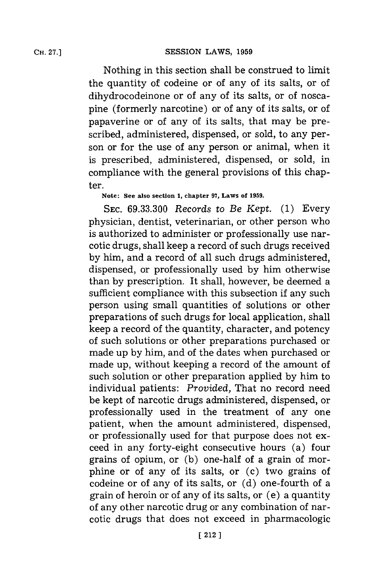Nothing in this section shall be construed to limit the quantity of codeine or of any of its salts, or of dihydrocodeinone or of any of its salts, or of noscapine (formerly narcotine) or of any of its salts, or of papaverine or of any of its salts, that may be prescribed, administered, dispensed, or sold, to any person or for the use of any person or animal, when it is prescribed, administered, dispensed, or sold, in compliance with the general provisions of this chapter.

**Note: See also section 1, chapter 97, Laws of 1959.**

**SEC. 69.33.300** *Records* to *Be Kept.* **(1)** Every physician, dentist, veterinarian, or other person who is authorized to administer or professionally use narcotic drugs, shall keep a record of such drugs received **by** him, and a record of all such drugs administered, dispensed, or professionally used **by** him otherwise than **by** prescription. It shall, however, be deemed a sufficient compliance with this subsection if any such person using small quantities of solutions or other preparations of such drugs for local application, shall keep a record of the quantity, character, and potency of such solutions or other preparations purchased or made up **by** him, and of the dates when purchased or made up, without keeping a record of the amount of such solution or other preparation applied **by** him to individual patients: *Provided,* That no record need be kept of narcotic drugs administered, dispensed, or professionally used in the treatment of any one patient, when the amount administered, dispensed, or professionally used for that purpose does not exceed in any forty-eight consecutive hours (a) four grains of opium, or **(b)** one-half of a grain of morphine or of any of its salts, or (c) two grains of codeine or of any of its salts, or **(d)** one-fourth of a grain of heroin or of any of its salts, or (e) a quantity of any other narcotic drug or any combination of narcotic drugs that does not exceed in pharmacologic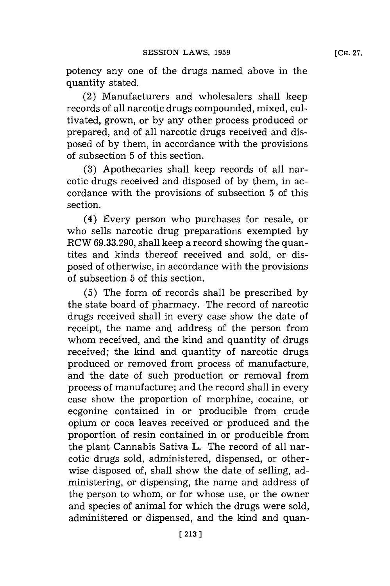potency any one of the drugs named above in the quantity stated.

(2) Manufacturers and wholesalers shall keep records of all narcotic drugs compounded, mixed, cultivated, grown, or **by** any other process produced or prepared, and of all narcotic drugs received and disposed of **by** them, in accordance with the provisions of subsection **5** of this section.

**(3)** Apothecaries shall keep records of all narcotic drugs received and disposed of **by** them, in accordance with the provisions of subsection **5** of this section.

(4) Every person who purchases for resale, or who sells narcotic drug preparations exempted **by** RCW **69.33.290,** shall keep a record showing the quantites and kinds thereof received and sold, or disposed of otherwise, in accordance with the provisions of subsection **5** of this section.

**(5)** The form of records shall be prescribed **by** the state board of pharmacy. The record of narcotic drugs received shall in every case show the date of receipt, the name and address of the person from whom received, and the kind and quantity of drugs received; the kind and quantity of narcotic drugs produced or removed from process of manufacture, and the date of such production or removal from process of manufacture; and the record shall in every case show the proportion of morphine, cocaine, or ecgonine contained in or producible from crude opium or coca leaves received or produced and the proportion of resin contained in or producible from the plant Cannabis Sativa L. The record of all narcotic drugs sold, administered, dispensed, or otherwise disposed of, shall show the date of selling, administering, or dispensing, the name and address of the person to whom, or **for** whose use, or the owner and species of animal for which the drugs were sold, administered or dispensed, and the kind and quan-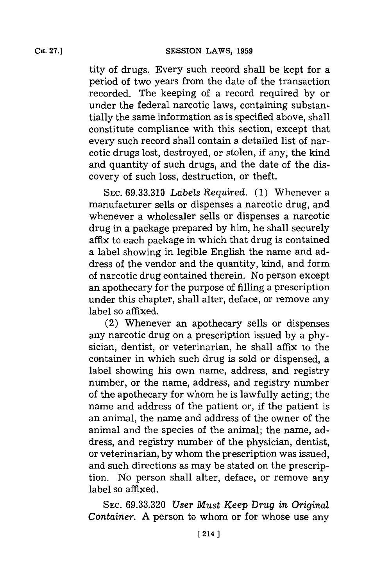*tity* of drugs. Every such record shall be kept for a period of two years from the date of the transaction recorded. The keeping of a record required **by** or under the federal narcotic laws, containing substantially the same information as is specified above, shall constitute compliance with this section, except that every such record shall contain a detailed list of narcotic drugs lost, destroyed, or stolen, if any, the kind and quantity of such drugs, and the date of the discovery of such loss, destruction, or theft.

**SEC. 69.33.310** *Labels Required.* **(1)** Whenever a manufacturer sells or dispenses a narcotic drug, and whenever a wholesaler sells or dispenses a narcotic drug in a package prepared **by** him, he shall securely affix to each package in which that drug is contained a label showing in legible English the name and address of the vendor and the quantity, kind, and form of narcotic drug contained therein. No person except an apothecary for the purpose of filling a prescription under this chapter, shall alter, deface, or remove any label so affixed.

(2) Whenever an apothecary sells or dispenses any narcotic drug on a prescription issued **by** a **phy**sician, dentist, or veterinarian, he shall affix to the container in which such drug is sold or dispensed, a label showing his own name, address, and registry number, or the name, address, and registry number of the apothecary for whom he is lawfully acting; the name and address of the patient or, if the patient is an animal, the name and address of the owner of the animal and the species of the animal; the name, address, and registry number of the physician, dentist, or veterinarian, **by** whom the prescription was issued, and such directions as may be stated on the prescription. No person shall alter, deface, or remove any label so affixed.

**SEC. 69.33.320** *User Must Keep Drug in Original Container.* **A** person to whom or for whose use any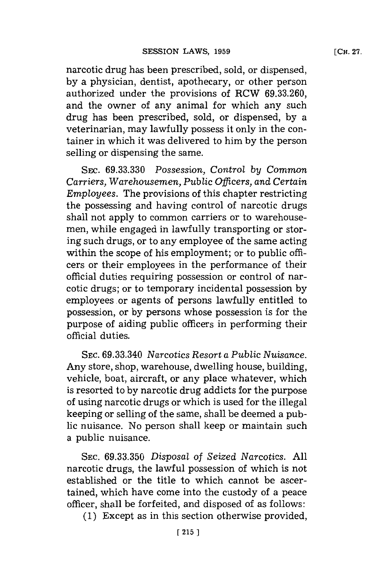narcotic drug has been prescribed, sold, or dispensed, **by** a physician, dentist, apothecary, or other person authorized under the provisions of RCW **69.33.260,** and the owner of any animal for which any such drug has been prescribed, sold, or dispensed, **by** a veterinarian, may lawfully possess it only in the container in which it was delivered to him **by** the person selling or dispensing the same.

SEc. **69.33.330** *Possession, Control by Common Carriers, Warehousemen, Public Officers, and Certain Employees.* The provisions of this chapter restricting the possessing and having control of narcotic drugs shall not apply to common carriers or to warehousemen, while engaged in lawfully transporting or storing such drugs, or to any employee of the same acting within the scope of his employment; or to public officers or their employees in the performance of their official duties requiring possession or control of narcotic drugs; or to temporary incidental possession **by** employees or agents of persons lawfully entitled to possession, or **by** persons whose possession is for the purpose of aiding public officers in performing their official duties.

**SEC. 69.3-3.340** *Narcotics Resort a Public Nuisance. Any* store, shop, warehouse, dwelling house, building, vehicle, boat, aircraft, or any place whatever, which is resorted to **by** narcotic drug addicts for the purpose of using narcotic drugs or which is used for the illegal keeping or selling of the same, shall be deemed a public nuisance. No person shall keep or maintain such a public nuisance.

**SEC. 69.33.350** *Disposal of Seized Narcotics.* **All** narcotic drugs, the lawful possession of which is not established or the title to which cannot be ascertained, which have come into the custody of a peace officer, shall be forfeited, and disposed of as follows:

**(1)** Except as in this section otherwise provided,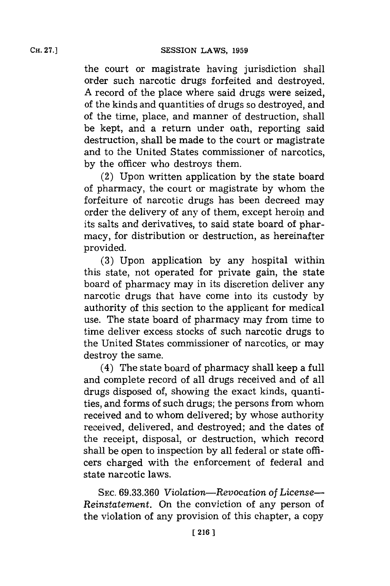the court or magistrate having jurisdiction shall order such narcotic drugs forfeited and destroyed. **A** record of the place where said drugs were seized, of the kinds and quantities of drugs so destroyed, and of the time, place, and manner of destruction, shall be kept, and a return under oath, reporting said destruction, shall be made to the court or magistrate and to the United States commissioner of narcotics, **by** the officer who destroys them.

(2) Upon written application **by** the state board of pharmacy, the court or magistrate **by** whom the forfeiture of narcotic drugs has been decreed may order the delivery of any of them, except heroin and its salts and derivatives, to said state board of pharmacy, for distribution or destruction, as hereinafter provided.

**(3)** Upon application **by** any hospital within this state, not operated for private gain, the state board of pharmacy may in its discretion deliver any narcotic drugs that have come into its custody **by** authority of this section to the applicant for medical use. The state board of pharmacy may from time to time deliver excess stocks of such narcotic drugs to the United States commissioner of narcotics, or may destroy the same.

(4) The state board of pharmacy shall keep a full and complete record of all drugs received and of all drugs disposed of, showing the exact kinds, quantities, and forms of such drugs; the persons from whom received and to whom delivered; **by** whose authority received, delivered, and destroyed; and the dates of the receipt, disposal, or destruction, which record shall be open to inspection **by** all federal or state officers charged with the enforcement of federal and state narcotic laws.

**SEC. 69.33.360** *Violation-Revocation* of *License-Reinstatement.* On the conviction of any person of the violation of any provision of this chapter, a copy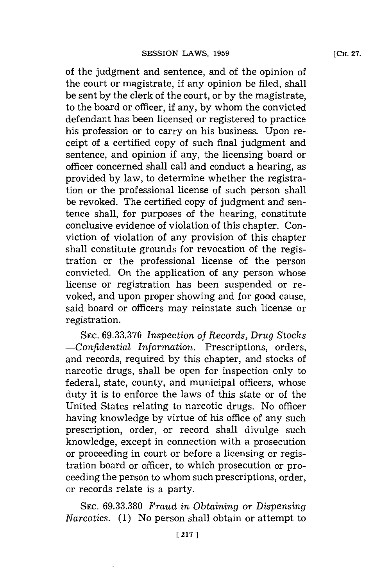of the judgment and sentence, and of the opinion of the court or magistrate, if any opinion be filed, shall be sent **by** the clerk of the court, or **by** the magistrate, to the board or officer, if any, **by** whom the convicted defendant has been licensed or registered to practice his profession or to carry on his business. Upon receipt of a certified copy of such final judgment and sentence, and opinion if any, the licensing board or officer concerned shall call and conduct a hearing, as provided **by** law, to determine whether the registration or the professional license of such person shall be revoked. The certified copy of judgment and sentence shall, for purposes of the hearing, constitute conclusive evidence of violation of this chapter. Conviction of violation of any provision of this chapter shall constitute grounds for revocation of the registration or the professional license of the person convicted. On the application of any person whose license or registration has been suspended or revoked, and upon proper showing and **for** good cause, said board or officers may reinstate such license or registration.

**SEC. 69.33.370** *Inspection of Records, Drug Stocks -Confidential Information.* Prescriptions, orders, and records, required **by** this chapter, and stocks of narcotic drugs, shall be open for inspection only to federal, state, county, and municipal officers, whose duty it is to enforce the laws of this state or of the United States relating to narcotic drugs. No officer having knowledge **by** virtue of his office of any such prescription, order, or record shall divulge such knowledge, except in connection with a prosecution or proceeding in court or before a licensing or registration board or officer, to which prosecution or proceeding the person to whom such prescriptions, order, or records relate is a party.

**SEC. 69.33.380** *Fraud in Obtaining or Dispensing Narcotics. (1)* No person shall obtain or attempt to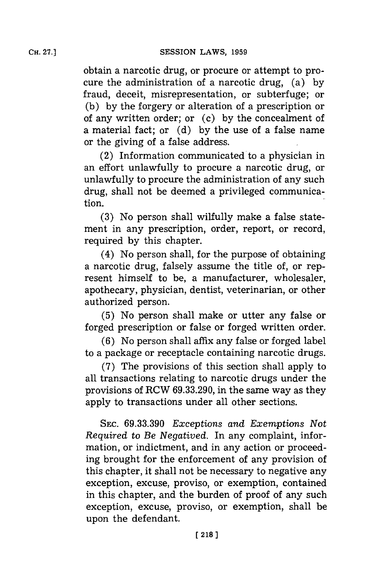obtain a narcotic drug, or procure or attempt to procure the administration of a narcotic drug, (a) **by** fraud, deceit, misrepresentation, or subterfuge; or **(b) by** the forgery or alteration of a prescription or of any written order; or (c) **by** the concealment of a material fact; or **(d) by** the use of a false name or the giving of a false address.

(2) Information communicated to a physician in an effort unlawfully to procure a narcotic drug, or unlawfully to procure the administration of any such drug, shall not be deemed a privileged communication.

**(3)** No person shall wilfully make a false statement in any prescription, order, report, or record, required **by** this chapter.

(4) No person shall, **for** the purpose of obtaining a narcotic drug, falsely assume the title of, or represent himself to be, a manufacturer, wholesaler, apothecary, physician, dentist, veterinarian, or other authorized person.

**(5)** No person shall make or utter any **f** alse or forged prescription or false or forged written order.

**(6)** No person shall affix any false or forged label to a package or receptacle containing narcotic drugs.

**(7)** The provisions of this section shall apply to all transactions relating to narcotic drugs under the provisions of RCW **69.33.290,** in the same way as they apply to transactions under all other sections.

**SEC. 69.33.390** *Exceptions and Exemptions Not Required* to *Be Negatived.* In any complaint, information, or indictment, and in any action or proceeding brought for the enforcement of any provision of this chapter, it shall not be necessary to negative any exception, excuse, proviso, or exemption, contained in this chapter, and the burden of proof of any such exception, excuse, proviso, or exemption, shall be upon the defendant.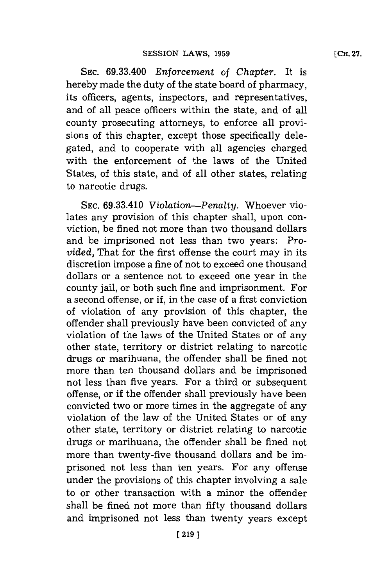**SEC. 69.33.400** *Enforcement of Chapter.* It is hereby made the duty of the state board of pharmacy, its officers, agents, inspectors, and representatives, and of all peace officers within the state, and of all county prosecuting attorneys, to enforce all provisions of this chapter, except those specifically delegated, and to cooperate with all agencies charged with the enforcement of the laws of the United States, of this state, and of all other states, relating to narcotic drugs.

**SEC. 69.33.410** *Violation-Penalty.* Whoever violates any provision of this chapter shall, upon conviction, be fined not more than two thousand dollars and be imprisoned not less than two years: *Provided,* That for the first offense the court may in its discretion impose a fine of not to exceed one thousand dollars or a sentence not to exceed one year in the county jail, or both such fine and imprisonment. For a second offense, or if, in the case of a first conviction of violation of any provision of this chapter, the offender shall previously have been convicted of any violation of the laws of the United States or of any other state, territory or district relating to narcotic drugs or marihuana, the offender shall be fined not more than ten thousand dollars and be imprisoned not less than five years. For a third or subsequent offense, or if the offender shall previously have been convicted two or more times in the aggregate of any violation of the law of the United States or of any other state, territory or district relating to narcotic drugs or marihuana, the offender shall be fined not more than twenty-five thousand dollars and be imprisoned not less than ten years. For any offense under the provisions of this chapter involving a sale to or other transaction with a minor the offender shall be fined not more than fifty thousand dollars and imprisoned not less than twenty years except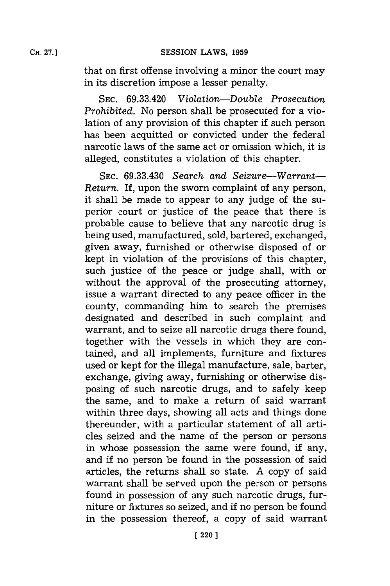that on first offense involving a minor the court may in its discretion impose a lesser penalty.

SEC. **69.33.420** *Violation-Double Prosecution Prohibited.* No person shall be prosecuted for a violation of any provision of this chapter if such person has been acquitted or convicted under the federal narcotic laws of the same act or omission which, it is alleged, constitutes a violation of this chapter.

**SEC. 69.33.430** *Search and Seizure-Warrant-Return.* If, upon the sworn complaint of any person, it shall be made to appear to any judge of the superior court or' justice of the peace that there is probable cause to believe that any narcotic drug is being used, manufactured, sold, bartered, exchanged, given away, furnished or otherwise disposed of or kept in violation of the provisions of this chapter, such justice of the peace or judge shall, with or without the approval of the prosecuting attorney, issue a warrant directed to any peace officer in the county, commanding him to search the premises designated and described in such complaint and warrant, and to seize all narcotic drugs there found, together with the vessels in which they are contained, and all implements, furniture and fixtures used or kept for the illegal manufacture, sale, barter, exchange, giving away, furnishing or otherwise disposing of such narcotic drugs, and to safely keep the same, and to make a return of said warrant within three days, showing all acts and things done thereunder, with a particular statement of all articles seized and the name of the person or persons in whose possession the same were found, if any, and if no person be found in the possession of said articles, the returns shall so state. **A** copy of said warrant shall be served upon the person or persons found in possession of any such narcotic drugs, furniture or fixtures so seized, and if no person be found in the possession thereof, a copy of said warrant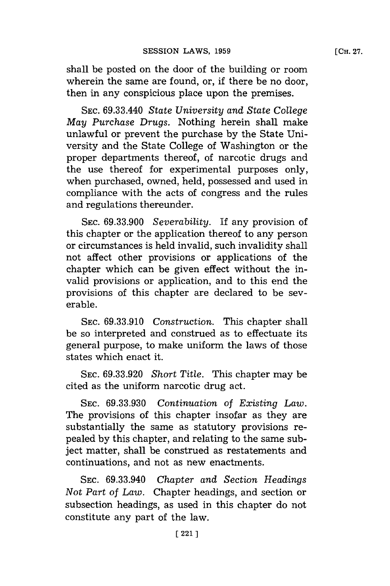shall be posted on the door of the building or room wherein the same are found, or, if there be no door, then in any conspicious place upon the premises.

**SEC.** 69.33.440 *State University and State College May Purchase Drugs.* Nothing herein shall make unlawful or prevent the purchase **by** the State University and the State College of Washington or the proper departments thereof, of narcotic drugs and the use thereof for experimental purposes only, when purchased, owned, held, possessed and used in compliance with the acts of congress and the rules and regulations thereunder.

**SEC. 69.33.900** *Severability.* **If** any provision of this chapter or the application thereof to any person or circumstances is held invalid, such invalidity shall not affect other provisions or applications of the chapter which can be given effect without the invalid provisions or application, and to this end the provisions of this chapter are declared to be severable.

**SEC. 69.33.910** *Construction.* This chapter shall be so interpreted and construed as to effectuate its general purpose, to make uniform the laws of those states which enact it.

**SEC. 69.33.920** *Short Title.* This chapter may be cited as the uniform narcotic drug act.

**SEC. 69.33.930** *Continuation of Existing Law.* The provisions of this chapter insofar as they are substantially the same as statutory provisions repealed **by** this chapter, and relating to the same subject matter, shall be construed as restatements and continuations, and not as new enactments.

**SEC. 69.33.940** *Chapter and Section Headings Not Part of Law.* Chapter headings, and section or subsection headings, as used in this chapter do not constitute any part of the law.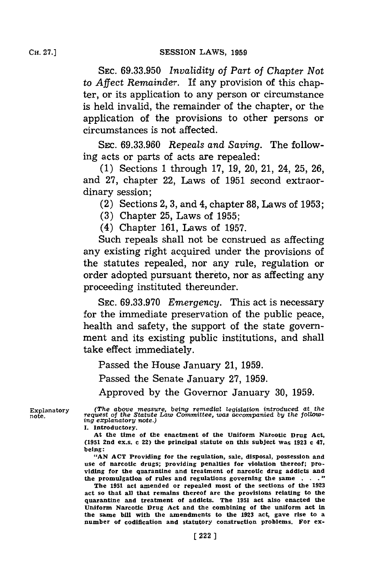SEC. **69.33.950** *Invalidity of Part of Chapter Not to Affect Remainder.* If any provision of this chapter, or its application to any person or circumstance is held invalid, the remainder of the chapter, or the application of the provisions to other persons or circumstances is not affected.

SEC. **69.33.960** *Repeals and Saving.* The following acts or parts of acts are repealed:

**(1)** Sections **1** through **17, 19,** 20, 21, 24, **25, 26,** and **27,** chapter 22, Laws of **1951** second extraordinary session;

(2) Sections 2, **3,** and 4, chapter **88,** Laws of **1953;**

**(3)** Chapter **25,** Laws of **1955;**

(4) Chapter **161,** Laws of **1957.**

Such repeals shall not be construed as affecting any existing right acquired under the provisions of the statutes repealed, nor any rule, regulation or order adopted pursuant thereto, nor as affecting any proceeding instituted thereunder.

**SEC. 69.33.970** *Emergency.* This act is necessary for the immediate preservation of the public peace, health and safety, the support of the state government and its existing public institutions, and shall take effect immediately.

Passed the House January 21, **1959.**

Passed the Senate January **27, 1959.**

Approved **by** the Governor January **30, 1959.**

Explanatory (The above measure, being remedial legislation introduced at the<br>note. Tequest of the Statute Law Committee, was accompanied by the follow-<br>ing explanatory note.)

**1. Introductory.**

**At the time of the enactment of the Uniform Narcotic Drug Act,** (1951 2nd ex.s. c 22) the principal statute on this subject was 1923 c 47, **being:**

**"AN ACT Providing for the regulation, sale, disposal, possession and use of narcotic drugs; providing penalties for violation thereof; providing for the quarantine and treatment of narcotic drug addicts and the promulgation of rules and regulations governing the same . .. 1**

**The 1951 act amended or repealed most of the sections of the 1923 act so that all that remains thereof are the provisions relating to the quarantine and treatment of addicts. The 1951 act also enacted the Uniform Narcotic Drug Act and the combining of the uniform act in the same bill with the amendments to the 1923 act, gave rise to a number of codification and statutory construction problems. For ex-**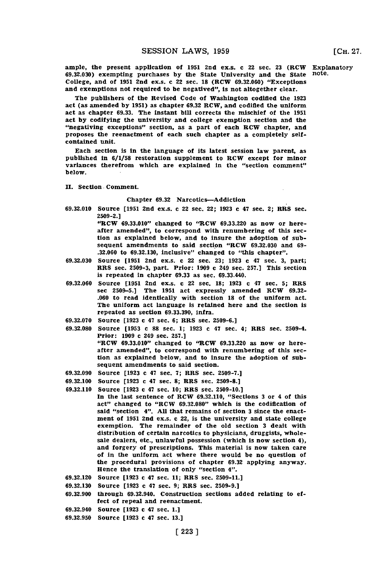ample, the present application of **1951** 2nd ex.s. c 22 see. **23** (RCW Explanatory 69.32.030) exempting purchases by the State University and the State College, and of **1951** 2nd ex.s. **c** 22 sec. **18** (RCW **69.32.060)** "Exceptions and exemptions not required to be negatived", is not altogether clear.

The publishers of the Revised Code of Washington codified the **1923** act (as amended **by 1951)** as chapter **69.32** RCW, and codified the uniform act as chapter **69.33.** The instant bill corrects the mischief of the **1951** act **by** codifying the university and college exemption section and the "negativing exceptions" section, as a part of each RCW chapter, and proposes the reenactment of each such chapter as a completely selfcontained unit.

Each section is in the language of its latest session law parent, as published in **6/1/58** restoration supplement to RCW except for minor variances therefrom which are explained In the "section comment" below.

**H.** Section. Comment.

#### Chapter **69.32** Narcotics-Addiction

**69.32.010** Source **[1951** 2nd ex.s. c 22 sec. 22; **1923** c 47 sec. 2; RE **S** sec. **2509-2.]**

14RCWp~ **69.33.010"** changed to "1RCW **69.33.220** as now or hereafter amended", to correspond with renumbering of this section as explained below, and to insure the adoption of subsequent amendments to said section "RCW 69.32.030 and 69-**.32.060** to **69.32.130,** inclusive" changed to "this chapter".

- **69.32.030** Source **[1951** 2nd ex.s. c 22 sec. **23; 1923 c** 47 sec. **3,** part; RRS sec. **2509-3,** part. Prior: **1909** c 249 sec. **257.]** This section Is repeated in chapter **69.33** as sec. 69.33.440.
- **69.32.060** Source **[1951** 2nd ex.s. c 22 sec. **18; 1923 c** 47 sec. **5;** RRS sec **2509-5.]** The **1951** act expressly amended RCW **69.32- .060** to read identically with section **18** of the uniform act. The uniform act language is retained here and the section is repeated as section **69.33.390,** infra.
- **69.32.070** Source **[1923** c 47 sec. **6;** RRS sec. **2509-6.]**
- **69.32.080** Source **[1953 c 88** sec. **1; 1923** c 47 sec. 4; RRS sec. 2509-4. Prior: **1909** c 249 sec. **257.]** "RCW 69.33.010" changed to "RCW 69.33.220 as now or hereafter amended", to correspond with renumbering of this section as explained below, and to insure the adoption **of** subsequent amendments to said section.
- **69.32.090** Source **[1923** c 47 sec. **7;** URS sec. **2509-7.]**
- **69.32.100** Source **[1923** c 47 sec. **8;** lIRS sec. **2509-8.]**
- **69.32.110** Source **[1923** c 47 sec. **10;** RRS sec. **2509-10.]**
	- In the last sentence of RCW **69.32.110,** "Sections **3** or 4 of this act" changed to "RCW 69.32.080" which is the codification of said "section 4". All that remains of section 3 since the enactment of **1951** 2nd ex.s. c 22, is the university and state college exemption. The remainder of the old section **3** dealt with distribution of certain narcotics to physicians, druggists, wholesale dealers, etc., unlawful possession (which is now section 4), and forgery of prescriptions. This material is now taken care of in the uniform act where there would be no question of the procedural provisions of chapter **69.32** applying anyway. Hence the translation of only "section 4".
- **69.32.120** Source **[1923** c 47 sec. **11;** RRS sec. **2509-11.]**
- **69.32.130** Source **[1923** c 47 sec. **9;** RRS sec. **2509-9.]**
- **69.32.900** through **69.32.940.** Construction sections added relating to effect of repeal and reenactment.
- **89.32.940** Source **[1923** c 47 sec. **1.]**
- **69.32.950** Source **[1923** c 47 sec. **13.]**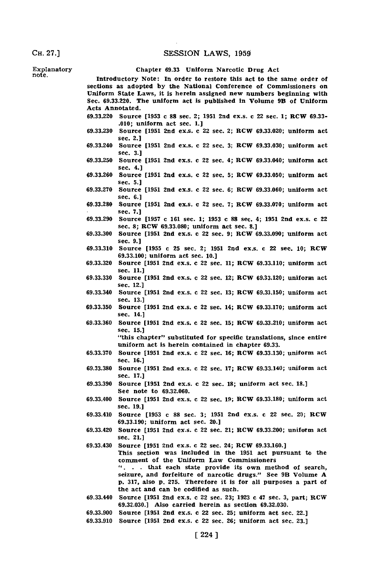Explanatory Chapter **69.33** Uniform Narcotic Drug Act note. Introductory Note: In order to restore this act to the same order of sections as adopted **by** the National Conference of Commissioners on Uniform State Laws, it is herein assigned new numbers beginning with Sec. 69.33.220. The uniform act is published in Volume 9B of Uniform Acts Annotated. **69.33.220** Source **[1953** c **88** sec. 2; **1951** 2nd ex.s. c 22 sec. **1;** RCW **69.33- .010;** uniform act sec. **1.] 69.33.230** Source **[1951** 2nd ex.s. c 22 sec. 2; RCW **69.33.020;** uniform act sec. 2.] **69.33.240** Source **[1951** 2nd ex.s. **c** 22 sec. **3;** RCW **69.33.030;** uniform act sec. **3.] 69.33.250** Source **11951** 2nd ex.s. c 22 sec. 4; RCW **69.33.040;** uniform act sec. 4.] **69.33.260** Source **[1951** 2nd ex.s. c 22 sec. **5;** RCW **69.33.050;** uniform act sec. **5.] 69.33.270** Source **[1951** 2nd ex.s. c 22 sec. **6;** RCW **69.33.060;** uniform act sec. **6.] 69.33.280** Source **[1951** 2nd ex.s. c 22 sec. **7;** RCW **69.33.070;** uniform act sec. **7.] 69.33.290** Source **[1957** c **161** sec. **1; 1953** c **88** sec. 4; **1951** 2nd ex.s. c 22 sec. **8;** RCW **69.33.080;** uniform act sec. **8.] 69.33.300** Source **[1951** 2nd ex.s. c 22 sec. **9;** RCW **69.33.090;** uniform act sec. **9.] 69.33.310** Source **[1955 c 25** sec. 2; **1951 2nd** ex.s. c 22 see. **10;** RCW **69.33.100;** uniform act sec. **1G.] 69.33.320** Source **[1951** 2nd ex.s. c 22 sec. **11;** 1ICW **69.33.110;** uniform act sec. **11.] 69.33.330** Source **[1951** 2nd ex.s. c 22 sec. 12; RCW **69.33.120;** uniform act sec. 12.] **69.33.340** Source **[1951** 2nd ex.s. c 22 sec. **13;** RCW **69.33.150;** uniform act sec. **13.] 69.33.350** Source **[1951** 2nd ex.s. c 22 sec. 14; RCW **69.33.170;** uniform act sec. 14.] **69.33.360** Source **[1951** 2nd ex.s. c 22 sec. **15;** RCW **69.33.210;** uniform act sec. **15.]** "this chapter" substituted for specific translations, since entire uniform act is herein contained in chapter **69.33. 69.33.370** Source **[1951** 2nd ex.s. c 22 sec. **16;** RCW **69.33.130;** uniform act sec. **16.] 69.33.380** Source **[1951** 2nd ex.s. c 22 sec. **17;** RCW **69.33.140;** uniform act sec. **17.] 69.33.390** Source **[1951** 2nd ex.s. **c** 22 sec. **18;** uniform act see. **18.]** See note to **69.32.060. 69.33.400** Source **[1951** 2nd ex.s. **c** 22 sec. **19;** RCW **69.33.180;** uniform act sec. **19.] 69.33.410** Source **[1953** c **88** see. **3; 1951** 2nd ex.s. c 22 sec. **20;** RCW **69.33.190;** uniform act sec. 20.] **69.33.420** Source **[1951** 2nd ex.s. c 22 sec. 21; RCW **69.33.200;** uniform act sec. 21.] **69.33.430** Source **[1951** 2nd ex.s. c 22 sec. 24; RCW **69.33.160.]** This section was included in the **1951** act pursuant to the comment of the Uniform Law Commissioners ". . . that each state provide its own method of search, seizure, and forfeiture of narcotic drugs." See SB Volume **A p. 317,** also **p. 275.** Therefore it is for all purposes a part of the act and can be codified as such. 69.33.440 Source **[1951 2nd** ex.s. c 22 sec. **23; 1923 c** 47 sec. **3,** part; RCW **69.32.030.]** Also carried herein as section **69.32.030. 69.33.900** Source **[1951** 2nd ex.s. **e** 22 sec. **25;** uniform act sec. 22.] **69.33.910** Source **[1951** 2nd ex.s. c 22 sec. **26;** uniform act sec. **23.]**